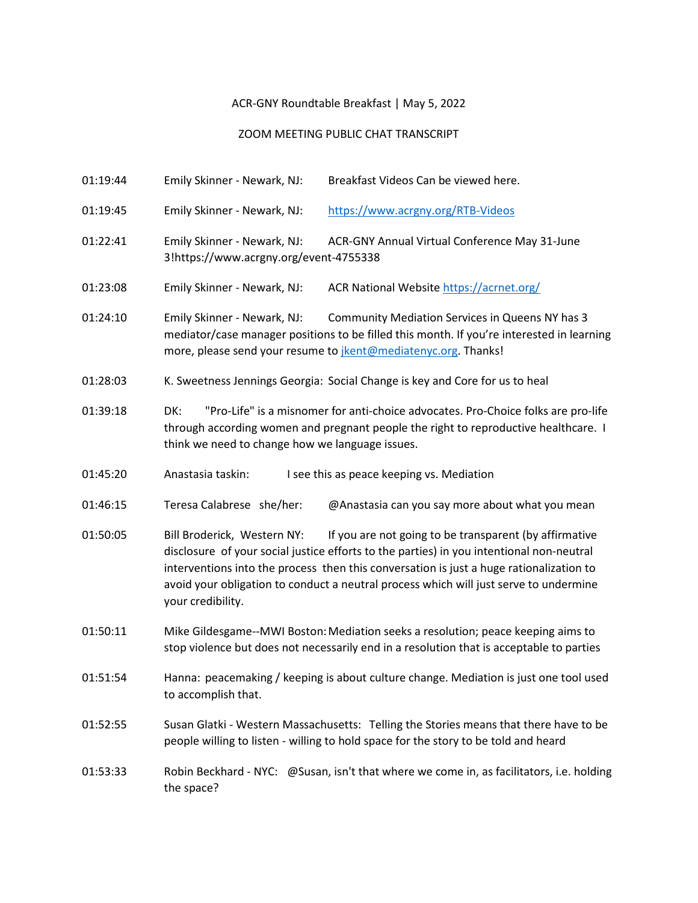## ACR-GNY Roundtable Breakfast | May 5, 2022

## ZOOM MEETING PUBLIC CHAT TRANSCRIPT

| 01:19:44 | Emily Skinner - Newark, NJ:<br>Breakfast Videos Can be viewed here.                                                                                                                                                                                                                                                                                                                        |  |
|----------|--------------------------------------------------------------------------------------------------------------------------------------------------------------------------------------------------------------------------------------------------------------------------------------------------------------------------------------------------------------------------------------------|--|
| 01:19:45 | Emily Skinner - Newark, NJ:<br>https://www.acrgny.org/RTB-Videos                                                                                                                                                                                                                                                                                                                           |  |
| 01:22:41 | Emily Skinner - Newark, NJ:<br>ACR-GNY Annual Virtual Conference May 31-June<br>3!https://www.acrgny.org/event-4755338                                                                                                                                                                                                                                                                     |  |
| 01:23:08 | Emily Skinner - Newark, NJ:<br>ACR National Website https://acrnet.org/                                                                                                                                                                                                                                                                                                                    |  |
| 01:24:10 | Emily Skinner - Newark, NJ:<br>Community Mediation Services in Queens NY has 3<br>mediator/case manager positions to be filled this month. If you're interested in learning<br>more, please send your resume to jkent@mediatenyc.org. Thanks!                                                                                                                                              |  |
| 01:28:03 | K. Sweetness Jennings Georgia: Social Change is key and Core for us to heal                                                                                                                                                                                                                                                                                                                |  |
| 01:39:18 | "Pro-Life" is a misnomer for anti-choice advocates. Pro-Choice folks are pro-life<br>DK:<br>through according women and pregnant people the right to reproductive healthcare. I<br>think we need to change how we language issues.                                                                                                                                                         |  |
| 01:45:20 | Anastasia taskin:<br>I see this as peace keeping vs. Mediation                                                                                                                                                                                                                                                                                                                             |  |
| 01:46:15 | Teresa Calabrese she/her:<br>@Anastasia can you say more about what you mean                                                                                                                                                                                                                                                                                                               |  |
| 01:50:05 | Bill Broderick, Western NY:<br>If you are not going to be transparent (by affirmative<br>disclosure of your social justice efforts to the parties) in you intentional non-neutral<br>interventions into the process then this conversation is just a huge rationalization to<br>avoid your obligation to conduct a neutral process which will just serve to undermine<br>your credibility. |  |
| 01:50:11 | Mike Gildesgame--MWI Boston: Mediation seeks a resolution; peace keeping aims to<br>stop violence but does not necessarily end in a resolution that is acceptable to parties                                                                                                                                                                                                               |  |
| 01:51:54 | Hanna: peacemaking / keeping is about culture change. Mediation is just one tool used<br>to accomplish that.                                                                                                                                                                                                                                                                               |  |
| 01:52:55 | Susan Glatki - Western Massachusetts: Telling the Stories means that there have to be<br>people willing to listen - willing to hold space for the story to be told and heard                                                                                                                                                                                                               |  |
| 01:53:33 | Robin Beckhard - NYC: @Susan, isn't that where we come in, as facilitators, i.e. holding<br>the space?                                                                                                                                                                                                                                                                                     |  |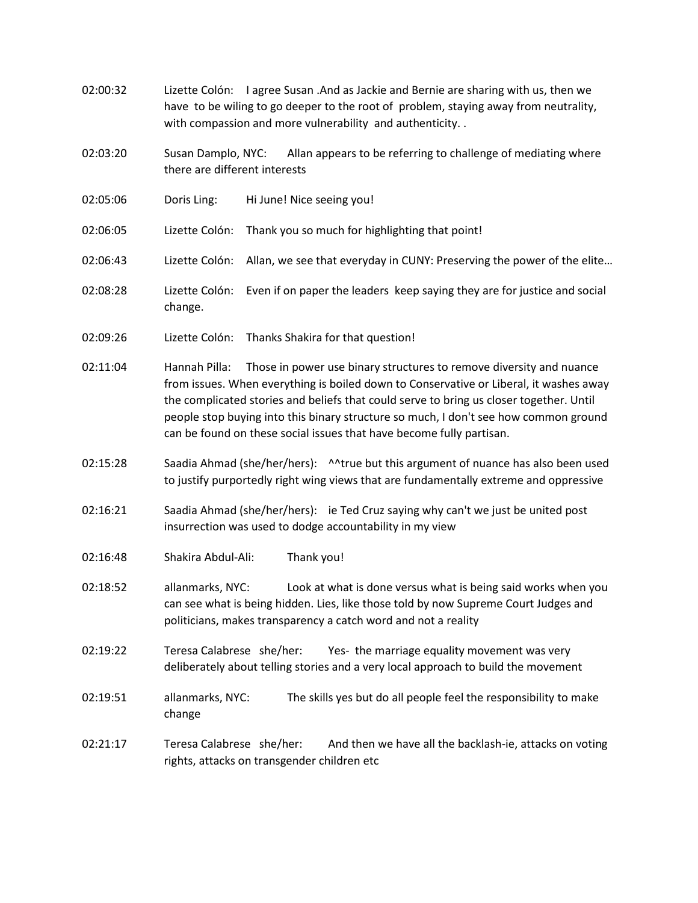- 02:00:32 Lizette Colón: I agree Susan .And as Jackie and Bernie are sharing with us, then we have to be wiling to go deeper to the root of problem, staying away from neutrality, with compassion and more vulnerability and authenticity. .
- 02:03:20 Susan Damplo, NYC: Allan appears to be referring to challenge of mediating where there are different interests
- 02:05:06 Doris Ling: Hi June! Nice seeing you!
- 02:06:05 Lizette Colón: Thank you so much for highlighting that point!
- 02:06:43 Lizette Colón: Allan, we see that everyday in CUNY: Preserving the power of the elite…
- 02:08:28 Lizette Colón: Even if on paper the leaders keep saying they are for justice and social change.
- 02:09:26 Lizette Colón: Thanks Shakira for that question!
- 02:11:04 Hannah Pilla: Those in power use binary structures to remove diversity and nuance from issues. When everything is boiled down to Conservative or Liberal, it washes away the complicated stories and beliefs that could serve to bring us closer together. Until people stop buying into this binary structure so much, I don't see how common ground can be found on these social issues that have become fully partisan.
- 02:15:28 Saadia Ahmad (she/her/hers): ^^true but this argument of nuance has also been used to justify purportedly right wing views that are fundamentally extreme and oppressive
- 02:16:21 Saadia Ahmad (she/her/hers): ie Ted Cruz saying why can't we just be united post insurrection was used to dodge accountability in my view
- 02:16:48 Shakira Abdul-Ali: Thank you!
- 02:18:52 allanmarks, NYC: Look at what is done versus what is being said works when you can see what is being hidden. Lies, like those told by now Supreme Court Judges and politicians, makes transparency a catch word and not a reality
- 02:19:22 Teresa Calabrese she/her: Yes- the marriage equality movement was very deliberately about telling stories and a very local approach to build the movement
- 02:19:51 allanmarks, NYC: The skills yes but do all people feel the responsibility to make change
- 02:21:17 Teresa Calabrese she/her: And then we have all the backlash-ie, attacks on voting rights, attacks on transgender children etc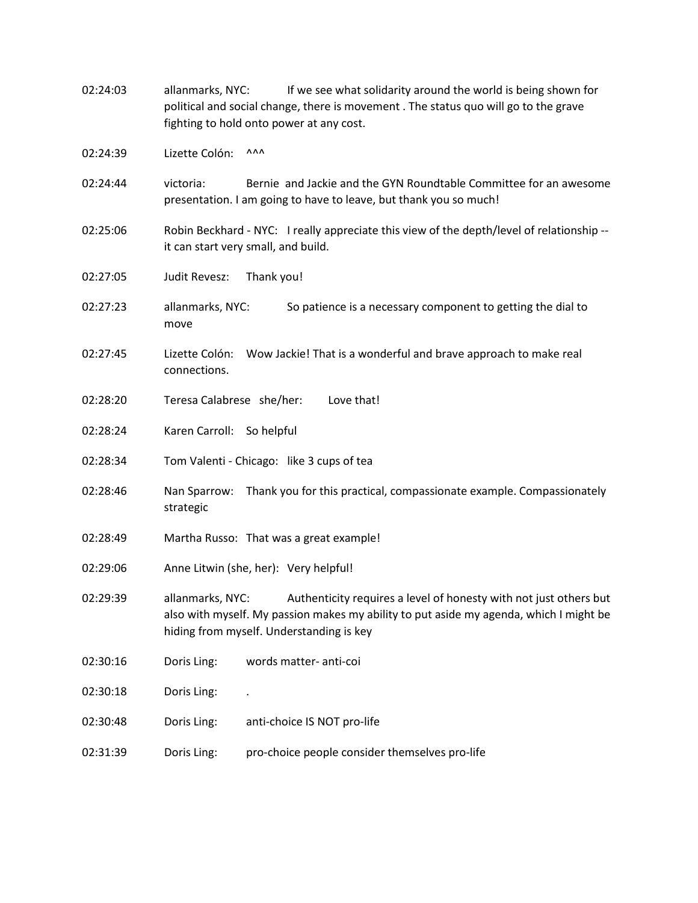- 02:24:03 allanmarks, NYC: If we see what solidarity around the world is being shown for political and social change, there is movement . The status quo will go to the grave fighting to hold onto power at any cost.
- 02:24:39 Lizette Colón: ^^^
- 02:24:44 victoria: Bernie and Jackie and the GYN Roundtable Committee for an awesome presentation. I am going to have to leave, but thank you so much!
- 02:25:06 Robin Beckhard NYC: I really appreciate this view of the depth/level of relationship -it can start very small, and build.
- 02:27:05 Judit Revesz: Thank you!
- 02:27:23 allanmarks, NYC: So patience is a necessary component to getting the dial to move
- 02:27:45 Lizette Colón: Wow Jackie! That is a wonderful and brave approach to make real connections.
- 02:28:20 Teresa Calabrese she/her: Love that!
- 02:28:24 Karen Carroll: So helpful
- 02:28:34 Tom Valenti Chicago: like 3 cups of tea
- 02:28:46 Nan Sparrow: Thank you for this practical, compassionate example. Compassionately strategic
- 02:28:49 Martha Russo: That was a great example!
- 02:29:06 Anne Litwin (she, her): Very helpful!
- 02:29:39 allanmarks, NYC: Authenticity requires a level of honesty with not just others but also with myself. My passion makes my ability to put aside my agenda, which I might be hiding from myself. Understanding is key
- 02:30:16 Doris Ling: words matter- anti-coi
- 02:30:18 Doris Ling: .
- 02:30:48 Doris Ling: anti-choice IS NOT pro-life
- 02:31:39 Doris Ling: pro-choice people consider themselves pro-life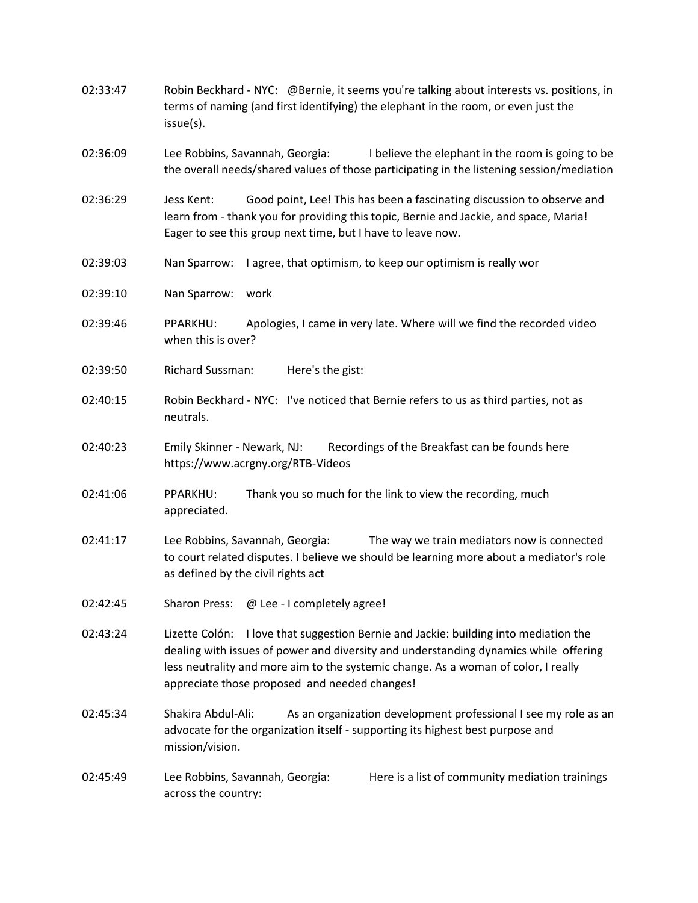| 02:33:47 | Robin Beckhard - NYC: @Bernie, it seems you're talking about interests vs. positions, in<br>terms of naming (and first identifying) the elephant in the room, or even just the<br>issue(s).                                                                                                                            |
|----------|------------------------------------------------------------------------------------------------------------------------------------------------------------------------------------------------------------------------------------------------------------------------------------------------------------------------|
| 02:36:09 | I believe the elephant in the room is going to be<br>Lee Robbins, Savannah, Georgia:<br>the overall needs/shared values of those participating in the listening session/mediation                                                                                                                                      |
| 02:36:29 | Good point, Lee! This has been a fascinating discussion to observe and<br>Jess Kent:<br>learn from - thank you for providing this topic, Bernie and Jackie, and space, Maria!<br>Eager to see this group next time, but I have to leave now.                                                                           |
| 02:39:03 | I agree, that optimism, to keep our optimism is really wor<br>Nan Sparrow:                                                                                                                                                                                                                                             |
| 02:39:10 | Nan Sparrow:<br>work                                                                                                                                                                                                                                                                                                   |
| 02:39:46 | Apologies, I came in very late. Where will we find the recorded video<br>PPARKHU:<br>when this is over?                                                                                                                                                                                                                |
| 02:39:50 | Richard Sussman:<br>Here's the gist:                                                                                                                                                                                                                                                                                   |
| 02:40:15 | Robin Beckhard - NYC: I've noticed that Bernie refers to us as third parties, not as<br>neutrals.                                                                                                                                                                                                                      |
| 02:40:23 | Recordings of the Breakfast can be founds here<br>Emily Skinner - Newark, NJ:<br>https://www.acrgny.org/RTB-Videos                                                                                                                                                                                                     |
| 02:41:06 | Thank you so much for the link to view the recording, much<br>PPARKHU:<br>appreciated.                                                                                                                                                                                                                                 |
| 02:41:17 | Lee Robbins, Savannah, Georgia:<br>The way we train mediators now is connected<br>to court related disputes. I believe we should be learning more about a mediator's role<br>as defined by the civil rights act                                                                                                        |
| 02:42:45 | <b>Sharon Press:</b><br>@ Lee - I completely agree!                                                                                                                                                                                                                                                                    |
| 02:43:24 | I love that suggestion Bernie and Jackie: building into mediation the<br>Lizette Colón:<br>dealing with issues of power and diversity and understanding dynamics while offering<br>less neutrality and more aim to the systemic change. As a woman of color, I really<br>appreciate those proposed and needed changes! |
| 02:45:34 | Shakira Abdul-Ali:<br>As an organization development professional I see my role as an<br>advocate for the organization itself - supporting its highest best purpose and<br>mission/vision.                                                                                                                             |
| 02:45:49 | Lee Robbins, Savannah, Georgia:<br>Here is a list of community mediation trainings<br>across the country:                                                                                                                                                                                                              |